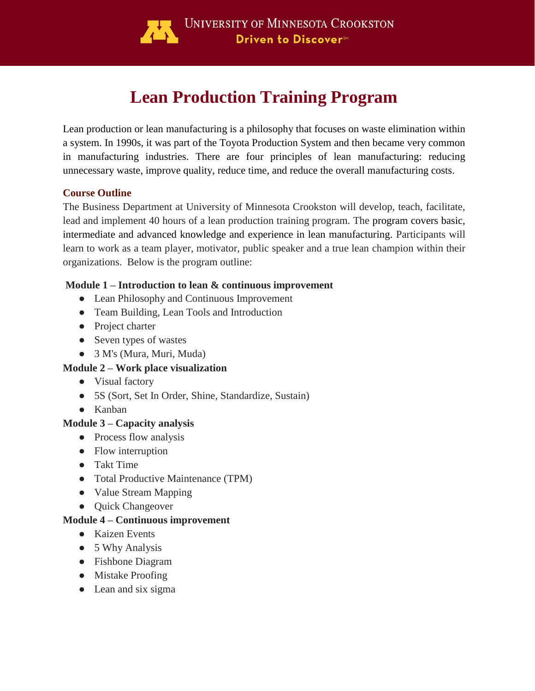

# **Lean Production Training Program**

Lean production or lean manufacturing is a philosophy that focuses on waste elimination within a system. In 1990s, it was part of the Toyota Production System and then became very common in manufacturing industries. There are four principles of lean manufacturing: reducing unnecessary waste, improve quality, reduce time, and reduce the overall manufacturing costs.

## **Course Outline**

The Business Department at University of Minnesota Crookston will develop, teach, facilitate, lead and implement 40 hours of a lean production training program. The program covers basic, intermediate and advanced knowledge and experience in lean manufacturing. Participants will learn to work as a team player, motivator, public speaker and a true lean champion within their organizations. Below is the program outline:

## **Module 1 – Introduction to lean & continuous improvement**

- Lean Philosophy and Continuous Improvement
- Team Building, Lean Tools and Introduction
- Project charter
- Seven types of wastes
- 3 M's (Mura, Muri, Muda)

## **Module 2 – Work place visualization**

- Visual factory
- 5S (Sort, Set In Order, Shine, Standardize, Sustain)
- Kanban

## **Module 3 – Capacity analysis**

- Process flow analysis
- Flow interruption
- Takt Time
- Total Productive Maintenance (TPM)
- Value Stream Mapping
- Quick Changeover

## **Module 4 – Continuous improvement**

- Kaizen Events
- 5 Why Analysis
- Fishbone Diagram
- Mistake Proofing
- Lean and six sigma